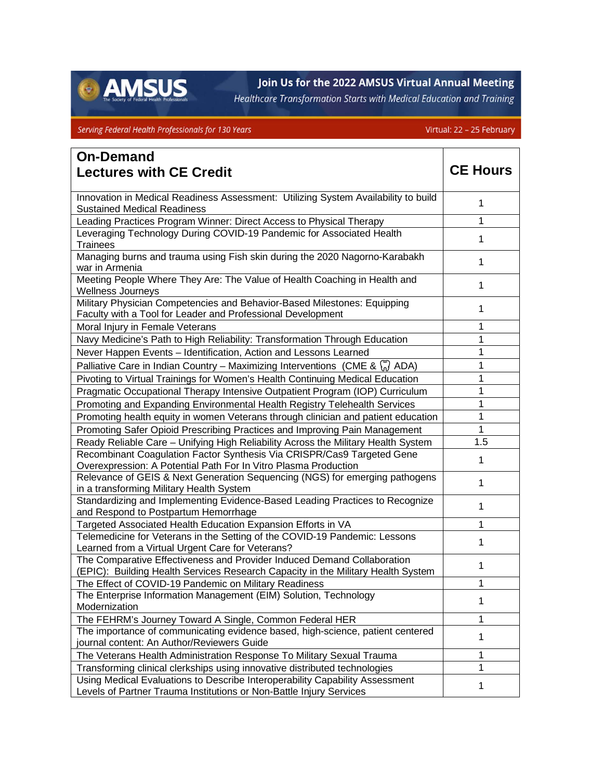

## Join Us for the 2022 AMSUS Virtual Annual Meeting

Healthcare Transformation Starts with Medical Education and Training

## Serving Federal Health Professionals for 130 Years

## Virtual: 22 - 25 February

| <b>On-Demand</b>                                                                                                                                            |                 |
|-------------------------------------------------------------------------------------------------------------------------------------------------------------|-----------------|
| <b>Lectures with CE Credit</b>                                                                                                                              | <b>CE Hours</b> |
| Innovation in Medical Readiness Assessment: Utilizing System Availability to build                                                                          |                 |
| <b>Sustained Medical Readiness</b>                                                                                                                          | 1               |
| Leading Practices Program Winner: Direct Access to Physical Therapy                                                                                         | 1               |
| Leveraging Technology During COVID-19 Pandemic for Associated Health<br>Trainees                                                                            | 1               |
| Managing burns and trauma using Fish skin during the 2020 Nagorno-Karabakh<br>war in Armenia                                                                | 1               |
| Meeting People Where They Are: The Value of Health Coaching in Health and<br><b>Wellness Journeys</b>                                                       | 1               |
| Military Physician Competencies and Behavior-Based Milestones: Equipping<br>Faculty with a Tool for Leader and Professional Development                     | 1               |
| Moral Injury in Female Veterans                                                                                                                             | 1               |
| Navy Medicine's Path to High Reliability: Transformation Through Education                                                                                  | 1               |
| Never Happen Events - Identification, Action and Lessons Learned                                                                                            | 1               |
| Palliative Care in Indian Country – Maximizing Interventions (CME & $\binom{8}{0}$ ADA)                                                                     | 1               |
| Pivoting to Virtual Trainings for Women's Health Continuing Medical Education                                                                               | 1               |
| Pragmatic Occupational Therapy Intensive Outpatient Program (IOP) Curriculum                                                                                | 1               |
| Promoting and Expanding Environmental Health Registry Telehealth Services                                                                                   | 1               |
| Promoting health equity in women Veterans through clinician and patient education                                                                           | 1               |
| Promoting Safer Opioid Prescribing Practices and Improving Pain Management                                                                                  | 1               |
| Ready Reliable Care - Unifying High Reliability Across the Military Health System                                                                           | 1.5             |
| Recombinant Coagulation Factor Synthesis Via CRISPR/Cas9 Targeted Gene<br>Overexpression: A Potential Path For In Vitro Plasma Production                   | 1               |
| Relevance of GEIS & Next Generation Sequencing (NGS) for emerging pathogens<br>in a transforming Military Health System                                     | 1               |
| Standardizing and Implementing Evidence-Based Leading Practices to Recognize<br>and Respond to Postpartum Hemorrhage                                        | 1               |
| Targeted Associated Health Education Expansion Efforts in VA                                                                                                | 1               |
| Telemedicine for Veterans in the Setting of the COVID-19 Pandemic: Lessons<br>Learned from a Virtual Urgent Care for Veterans?                              | 1               |
| The Comparative Effectiveness and Provider Induced Demand Collaboration<br>(EPIC): Building Health Services Research Capacity in the Military Health System | 1               |
| The Effect of COVID-19 Pandemic on Military Readiness                                                                                                       | 1               |
| The Enterprise Information Management (EIM) Solution, Technology<br>Modernization                                                                           | 1               |
| The FEHRM's Journey Toward A Single, Common Federal HER                                                                                                     | 1               |
| The importance of communicating evidence based, high-science, patient centered<br>journal content: An Author/Reviewers Guide                                | 1               |
| The Veterans Health Administration Response To Military Sexual Trauma                                                                                       | 1               |
| Transforming clinical clerkships using innovative distributed technologies                                                                                  | 1               |
| Using Medical Evaluations to Describe Interoperability Capability Assessment<br>Levels of Partner Trauma Institutions or Non-Battle Injury Services         | 1               |